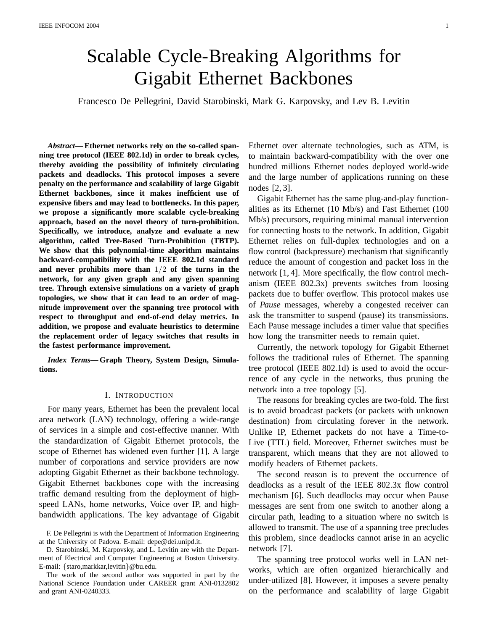# Scalable Cycle-Breaking Algorithms for Gigabit Ethernet Backbones

Francesco De Pellegrini, David Starobinski, Mark G. Karpovsky, and Lev B. Levitin

*Abstract***— Ethernet networks rely on the so-called spanning tree protocol (IEEE 802.1d) in order to break cycles, thereby avoiding the possibility of infinitely circulating packets and deadlocks. This protocol imposes a severe penalty on the performance and scalability of large Gigabit Ethernet backbones, since it makes inefficient use of expensive fibers and may lead to bottlenecks. In this paper, we propose a significantly more scalable cycle-breaking approach, based on the novel theory of turn-prohibition. Specifically, we introduce, analyze and evaluate a new algorithm, called Tree-Based Turn-Prohibition (TBTP). We show that this polynomial-time algorithm maintains backward-compatibility with the IEEE 802.1d standard and never prohibits more than** 1/2 **of the turns in the network, for any given graph and any given spanning tree. Through extensive simulations on a variety of graph topologies, we show that it can lead to an order of magnitude improvement over the spanning tree protocol with respect to throughput and end-of-end delay metrics. In addition, we propose and evaluate heuristics to determine the replacement order of legacy switches that results in the fastest performance improvement.**

*Index Terms***— Graph Theory, System Design, Simulations.**

#### I. INTRODUCTION

For many years, Ethernet has been the prevalent local area network (LAN) technology, offering a wide-range of services in a simple and cost-effective manner. With the standardization of Gigabit Ethernet protocols, the scope of Ethernet has widened even further [1]. A large number of corporations and service providers are now adopting Gigabit Ethernet as their backbone technology. Gigabit Ethernet backbones cope with the increasing traffic demand resulting from the deployment of highspeed LANs, home networks, Voice over IP, and highbandwidth applications. The key advantage of Gigabit Ethernet over alternate technologies, such as ATM, is to maintain backward-compatibility with the over one hundred millions Ethernet nodes deployed world-wide and the large number of applications running on these nodes [2, 3].

Gigabit Ethernet has the same plug-and-play functionalities as its Ethernet (10 Mb/s) and Fast Ethernet (100 Mb/s) precursors, requiring minimal manual intervention for connecting hosts to the network. In addition, Gigabit Ethernet relies on full-duplex technologies and on a flow control (backpressure) mechanism that significantly reduce the amount of congestion and packet loss in the network [1, 4]. More specifically, the flow control mechanism (IEEE 802.3x) prevents switches from loosing packets due to buffer overflow. This protocol makes use of *Pause* messages, whereby a congested receiver can ask the transmitter to suspend (pause) its transmissions. Each Pause message includes a timer value that specifies how long the transmitter needs to remain quiet.

Currently, the network topology for Gigabit Ethernet follows the traditional rules of Ethernet. The spanning tree protocol (IEEE 802.1d) is used to avoid the occurrence of any cycle in the networks, thus pruning the network into a tree topology [5].

The reasons for breaking cycles are two-fold. The first is to avoid broadcast packets (or packets with unknown destination) from circulating forever in the network. Unlike IP, Ethernet packets do not have a Time-to-Live (TTL) field. Moreover, Ethernet switches must be transparent, which means that they are not allowed to modify headers of Ethernet packets.

The second reason is to prevent the occurrence of deadlocks as a result of the IEEE 802.3x flow control mechanism [6]. Such deadlocks may occur when Pause messages are sent from one switch to another along a circular path, leading to a situation where no switch is allowed to transmit. The use of a spanning tree precludes this problem, since deadlocks cannot arise in an acyclic network [7].

The spanning tree protocol works well in LAN networks, which are often organized hierarchically and under-utilized [8]. However, it imposes a severe penalty on the performance and scalability of large Gigabit

F. De Pellegrini is with the Department of Information Engineering at the University of Padova. E-mail: depe@dei.unipd.it.

D. Starobinski, M. Karpovsky, and L. Levitin are with the Department of Electrical and Computer Engineering at Boston University. E-mail: {staro,markkar,levitin}@bu.edu.

The work of the second author was supported in part by the National Science Foundation under CAREER grant ANI-0132802 and grant ANI-0240333.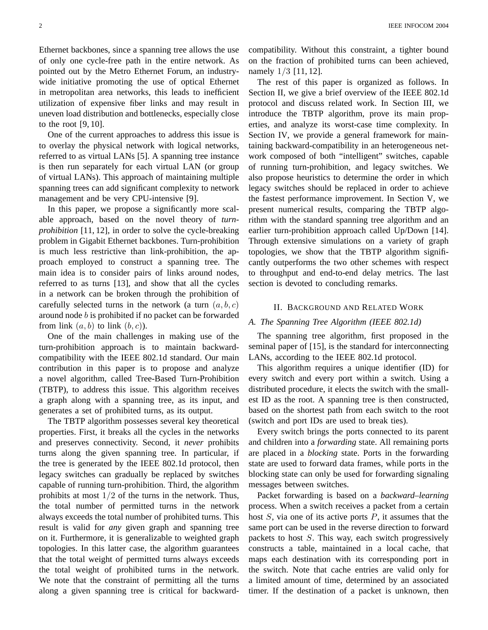Ethernet backbones, since a spanning tree allows the use of only one cycle-free path in the entire network. As pointed out by the Metro Ethernet Forum, an industrywide initiative promoting the use of optical Ethernet in metropolitan area networks, this leads to inefficient utilization of expensive fiber links and may result in uneven load distribution and bottlenecks, especially close to the root [9, 10].

One of the current approaches to address this issue is to overlay the physical network with logical networks, referred to as virtual LANs [5]. A spanning tree instance is then run separately for each virtual LAN (or group of virtual LANs). This approach of maintaining multiple spanning trees can add significant complexity to network management and be very CPU-intensive [9].

In this paper, we propose a significantly more scalable approach, based on the novel theory of *turnprohibition* [11, 12], in order to solve the cycle-breaking problem in Gigabit Ethernet backbones. Turn-prohibition is much less restrictive than link-prohibition, the approach employed to construct a spanning tree. The main idea is to consider pairs of links around nodes, referred to as turns [13], and show that all the cycles in a network can be broken through the prohibition of carefully selected turns in the network (a turn  $(a, b, c)$ around node  $b$  is prohibited if no packet can be forwarded from link  $(a, b)$  to link  $(b, c)$ ).

One of the main challenges in making use of the turn-prohibition approach is to maintain backwardcompatibility with the IEEE 802.1d standard. Our main contribution in this paper is to propose and analyze a novel algorithm, called Tree-Based Turn-Prohibition (TBTP), to address this issue. This algorithm receives a graph along with a spanning tree, as its input, and generates a set of prohibited turns, as its output.

The TBTP algorithm possesses several key theoretical properties. First, it breaks all the cycles in the networks and preserves connectivity. Second, it *never* prohibits turns along the given spanning tree. In particular, if the tree is generated by the IEEE 802.1d protocol, then legacy switches can gradually be replaced by switches capable of running turn-prohibition. Third, the algorithm prohibits at most  $1/2$  of the turns in the network. Thus, the total number of permitted turns in the network always exceeds the total number of prohibited turns. This result is valid for *any* given graph and spanning tree on it. Furthermore, it is generalizable to weighted graph topologies. In this latter case, the algorithm guarantees that the total weight of permitted turns always exceeds the total weight of prohibited turns in the network. We note that the constraint of permitting all the turns along a given spanning tree is critical for backwardcompatibility. Without this constraint, a tighter bound on the fraction of prohibited turns can been achieved, namely 1/3 [11, 12].

The rest of this paper is organized as follows. In Section II, we give a brief overview of the IEEE 802.1d protocol and discuss related work. In Section III, we introduce the TBTP algorithm, prove its main properties, and analyze its worst-case time complexity. In Section IV, we provide a general framework for maintaining backward-compatibility in an heterogeneous network composed of both "intelligent" switches, capable of running turn-prohibition, and legacy switches. We also propose heuristics to determine the order in which legacy switches should be replaced in order to achieve the fastest performance improvement. In Section V, we present numerical results, comparing the TBTP algorithm with the standard spanning tree algorithm and an earlier turn-prohibition approach called Up/Down [14]. Through extensive simulations on a variety of graph topologies, we show that the TBTP algorithm significantly outperforms the two other schemes with respect to throughput and end-to-end delay metrics. The last section is devoted to concluding remarks.

# II. BACKGROUND AND RELATED WORK

#### *A. The Spanning Tree Algorithm (IEEE 802.1d)*

The spanning tree algorithm, first proposed in the seminal paper of [15], is the standard for interconnecting LANs, according to the IEEE 802.1d protocol.

This algorithm requires a unique identifier (ID) for every switch and every port within a switch. Using a distributed procedure, it elects the switch with the smallest ID as the root. A spanning tree is then constructed, based on the shortest path from each switch to the root (switch and port IDs are used to break ties).

Every switch brings the ports connected to its parent and children into a *forwarding* state. All remaining ports are placed in a *blocking* state. Ports in the forwarding state are used to forward data frames, while ports in the blocking state can only be used for forwarding signaling messages between switches.

Packet forwarding is based on a *backward–learning* process. When a switch receives a packet from a certain host  $S$ , via one of its active ports  $P$ , it assumes that the same port can be used in the reverse direction to forward packets to host  $S$ . This way, each switch progressively constructs a table, maintained in a local cache, that maps each destination with its corresponding port in the switch. Note that cache entries are valid only for a limited amount of time, determined by an associated timer. If the destination of a packet is unknown, then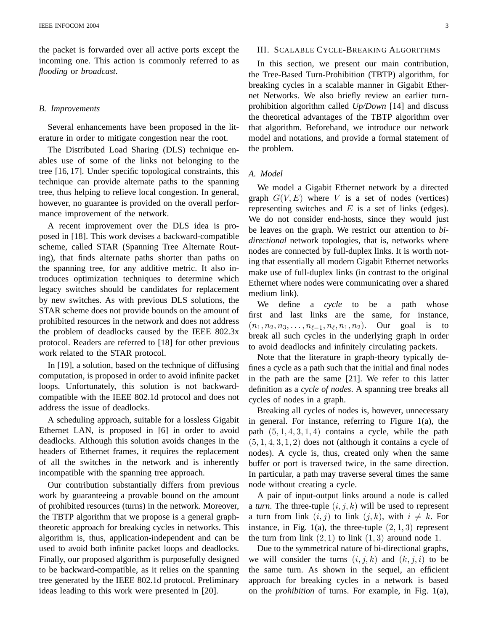the packet is forwarded over all active ports except the incoming one. This action is commonly referred to as *flooding* or *broadcast*.

#### *B. Improvements*

Several enhancements have been proposed in the literature in order to mitigate congestion near the root.

The Distributed Load Sharing (DLS) technique enables use of some of the links not belonging to the tree [16, 17]. Under specific topological constraints, this technique can provide alternate paths to the spanning tree, thus helping to relieve local congestion. In general, however, no guarantee is provided on the overall performance improvement of the network.

A recent improvement over the DLS idea is proposed in [18]. This work devises a backward-compatible scheme, called STAR (Spanning Tree Alternate Routing), that finds alternate paths shorter than paths on the spanning tree, for any additive metric. It also introduces optimization techniques to determine which legacy switches should be candidates for replacement by new switches. As with previous DLS solutions, the STAR scheme does not provide bounds on the amount of prohibited resources in the network and does not address the problem of deadlocks caused by the IEEE 802.3x protocol. Readers are referred to [18] for other previous work related to the STAR protocol.

In [19], a solution, based on the technique of diffusing computation, is proposed in order to avoid infinite packet loops. Unfortunately, this solution is not backwardcompatible with the IEEE 802.1d protocol and does not address the issue of deadlocks.

A scheduling approach, suitable for a lossless Gigabit Ethernet LAN, is proposed in [6] in order to avoid deadlocks. Although this solution avoids changes in the headers of Ethernet frames, it requires the replacement of all the switches in the network and is inherently incompatible with the spanning tree approach.

Our contribution substantially differs from previous work by guaranteeing a provable bound on the amount of prohibited resources (turns) in the network. Moreover, the TBTP algorithm that we propose is a general graphtheoretic approach for breaking cycles in networks. This algorithm is, thus, application-independent and can be used to avoid both infinite packet loops and deadlocks. Finally, our proposed algorithm is purposefully designed to be backward-compatible, as it relies on the spanning tree generated by the IEEE 802.1d protocol. Preliminary ideas leading to this work were presented in [20].

#### III. SCALABLE CYCLE-BREAKING ALGORITHMS

In this section, we present our main contribution, the Tree-Based Turn-Prohibition (TBTP) algorithm, for breaking cycles in a scalable manner in Gigabit Ethernet Networks. We also briefly review an earlier turnprohibition algorithm called *Up/Down* [14] and discuss the theoretical advantages of the TBTP algorithm over that algorithm. Beforehand, we introduce our network model and notations, and provide a formal statement of the problem.

#### *A. Model*

We model a Gigabit Ethernet network by a directed graph  $G(V, E)$  where V is a set of nodes (vertices) representing switches and  $E$  is a set of links (edges). We do not consider end-hosts, since they would just be leaves on the graph. We restrict our attention to *bidirectional* network topologies, that is, networks where nodes are connected by full-duplex links. It is worth noting that essentially all modern Gigabit Ethernet networks make use of full-duplex links (in contrast to the original Ethernet where nodes were communicating over a shared medium link).

We define a *cycle* to be a path whose first and last links are the same, for instance,  $(n_1, n_2, n_3, \ldots, n_{\ell-1}, n_{\ell}, n_1, n_2)$ . Our goal is to break all such cycles in the underlying graph in order to avoid deadlocks and infinitely circulating packets.

Note that the literature in graph-theory typically defines a cycle as a path such that the initial and final nodes in the path are the same [21]. We refer to this latter definition as a *cycle of nodes*. A spanning tree breaks all cycles of nodes in a graph.

Breaking all cycles of nodes is, however, unnecessary in general. For instance, referring to Figure  $1(a)$ , the path  $(5, 1, 4, 3, 1, 4)$  contains a cycle, while the path  $(5, 1, 4, 3, 1, 2)$  does not (although it contains a cycle of nodes). A cycle is, thus, created only when the same buffer or port is traversed twice, in the same direction. In particular, a path may traverse several times the same node without creating a cycle.

A pair of input-output links around a node is called a *turn*. The three-tuple  $(i, j, k)$  will be used to represent a turn from link  $(i, j)$  to link  $(j, k)$ , with  $i \neq k$ . For instance, in Fig. 1(a), the three-tuple  $(2, 1, 3)$  represent the turn from link  $(2, 1)$  to link  $(1, 3)$  around node 1.

Due to the symmetrical nature of bi-directional graphs, we will consider the turns  $(i, j, k)$  and  $(k, j, i)$  to be the same turn. As shown in the sequel, an efficient approach for breaking cycles in a network is based on the *prohibition* of turns. For example, in Fig. 1(a),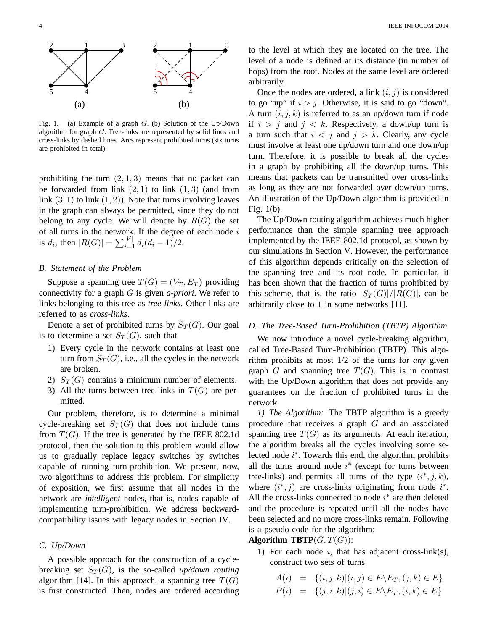

Fig. 1. (a) Example of a graph  $G$ . (b) Solution of the Up/Down algorithm for graph G. Tree-links are represented by solid lines and cross-links by dashed lines. Arcs represent prohibited turns (six turns are prohibited in total).

prohibiting the turn  $(2, 1, 3)$  means that no packet can be forwarded from link  $(2, 1)$  to link  $(1, 3)$  (and from link  $(3, 1)$  to link  $(1, 2)$ ). Note that turns involving leaves in the graph can always be permitted, since they do not belong to any cycle. We will denote by  $R(G)$  the set of all turns in the network. If the degree of each node  $i$ is  $d_i$ , then  $|R(G)| = \sum_{i=1}^{|V|}$  $\prod_{i=1}^{|V|} d_i(d_i-1)/2.$ 

#### *B. Statement of the Problem*

Suppose a spanning tree  $T(G) = (V_T, E_T)$  providing connectivity for a graph G is given *a-priori*. We refer to links belonging to this tree as *tree-links*. Other links are referred to as *cross-links*.

Denote a set of prohibited turns by  $S_T(G)$ . Our goal is to determine a set  $S_T(G)$ , such that

- 1) Every cycle in the network contains at least one turn from  $S_T(G)$ , i.e., all the cycles in the network are broken.
- 2)  $S_T(G)$  contains a minimum number of elements.
- 3) All the turns between tree-links in  $T(G)$  are permitted.

Our problem, therefore, is to determine a minimal cycle-breaking set  $S_T(G)$  that does not include turns from  $T(G)$ . If the tree is generated by the IEEE 802.1d protocol, then the solution to this problem would allow us to gradually replace legacy switches by switches capable of running turn-prohibition. We present, now, two algorithms to address this problem. For simplicity of exposition, we first assume that all nodes in the network are *intelligent* nodes, that is, nodes capable of implementing turn-prohibition. We address backwardcompatibility issues with legacy nodes in Section IV.

#### *C. Up/Down*

A possible approach for the construction of a cyclebreaking set  $S_T(G)$ , is the so-called *up/down routing* algorithm [14]. In this approach, a spanning tree  $T(G)$ is first constructed. Then, nodes are ordered according to the level at which they are located on the tree. The level of a node is defined at its distance (in number of hops) from the root. Nodes at the same level are ordered arbitrarily.

Once the nodes are ordered, a link  $(i, j)$  is considered to go "up" if  $i > j$ . Otherwise, it is said to go "down". A turn  $(i, j, k)$  is referred to as an up/down turn if node if  $i > j$  and  $j < k$ . Respectively, a down/up turn is a turn such that  $i < j$  and  $j > k$ . Clearly, any cycle must involve at least one up/down turn and one down/up turn. Therefore, it is possible to break all the cycles in a graph by prohibiting all the down/up turns. This means that packets can be transmitted over cross-links as long as they are not forwarded over down/up turns. An illustration of the Up/Down algorithm is provided in Fig. 1(b).

The Up/Down routing algorithm achieves much higher performance than the simple spanning tree approach implemented by the IEEE 802.1d protocol, as shown by our simulations in Section V. However, the performance of this algorithm depends critically on the selection of the spanning tree and its root node. In particular, it has been shown that the fraction of turns prohibited by this scheme, that is, the ratio  $|S_T(G)|/|R(G)|$ , can be arbitrarily close to 1 in some networks [11].

# *D. The Tree-Based Turn-Prohibition (TBTP) Algorithm*

We now introduce a novel cycle-breaking algorithm, called Tree-Based Turn-Prohibition (TBTP). This algorithm prohibits at most 1/2 of the turns for *any* given graph G and spanning tree  $T(G)$ . This is in contrast with the Up/Down algorithm that does not provide any guarantees on the fraction of prohibited turns in the network.

*1) The Algorithm:* The TBTP algorithm is a greedy procedure that receives a graph G and an associated spanning tree  $T(G)$  as its arguments. At each iteration, the algorithm breaks all the cycles involving some selected node  $i^*$ . Towards this end, the algorithm prohibits all the turns around node  $i^*$  (except for turns between tree-links) and permits all turns of the type  $(i^*, j, k)$ , where  $(i^*, j)$  are cross-links originating from node  $i^*$ . All the cross-links connected to node  $i^*$  are then deleted and the procedure is repeated until all the nodes have been selected and no more cross-links remain. Following is a pseudo-code for the algorithm:

# **Algorithm TBTP** $(G, T(G))$ :

1) For each node i, that has adjacent cross-link(s), construct two sets of turns

$$
A(i) = \{(i, j, k) | (i, j) \in E \setminus E_T, (j, k) \in E\}
$$
  

$$
P(i) = \{(j, i, k) | (j, i) \in E \setminus E_T, (i, k) \in E\}
$$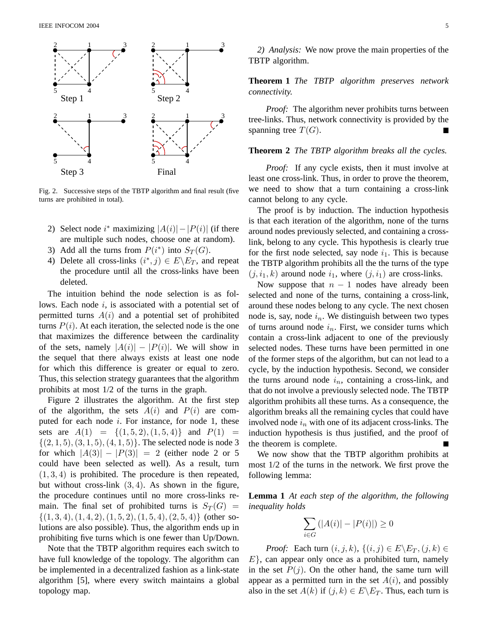

Fig. 2. Successive steps of the TBTP algorithm and final result (five turns are prohibited in total).

- 2) Select node  $i^*$  maximizing  $|A(i)| |P(i)|$  (if there are multiple such nodes, choose one at random).
- 3) Add all the turns from  $P(i^*)$  into  $S_T(G)$ .
- 4) Delete all cross-links  $(i^*, j) \in E \backslash E_T$ , and repeat the procedure until all the cross-links have been deleted.

The intuition behind the node selection is as follows. Each node  $i$ , is associated with a potential set of permitted turns  $A(i)$  and a potential set of prohibited turns  $P(i)$ . At each iteration, the selected node is the one that maximizes the difference between the cardinality of the sets, namely  $|A(i)| - |P(i)|$ . We will show in the sequel that there always exists at least one node for which this difference is greater or equal to zero. Thus, this selection strategy guarantees that the algorithm prohibits at most 1/2 of the turns in the graph.

Figure 2 illustrates the algorithm. At the first step of the algorithm, the sets  $A(i)$  and  $P(i)$  are computed for each node i. For instance, for node 1, these sets are  $A(1) = \{(1, 5, 2), (1, 5, 4)\}$  and  $P(1) =$  $\{(2, 1, 5), (3, 1, 5), (4, 1, 5)\}.$  The selected node is node 3 for which  $|A(3)| - |P(3)| = 2$  (either node 2 or 5 could have been selected as well). As a result, turn  $(1, 3, 4)$  is prohibited. The procedure is then repeated, but without cross-link  $(3, 4)$ . As shown in the figure, the procedure continues until no more cross-links remain. The final set of prohibited turns is  $S_T(G)$  =  $\{(1, 3, 4), (1, 4, 2), (1, 5, 2), (1, 5, 4), (2, 5, 4)\}\$  (other solutions are also possible). Thus, the algorithm ends up in prohibiting five turns which is one fewer than Up/Down.

Note that the TBTP algorithm requires each switch to have full knowledge of the topology. The algorithm can be implemented in a decentralized fashion as a link-state algorithm [5], where every switch maintains a global topology map.

*2) Analysis:* We now prove the main properties of the TBTP algorithm.

# **Theorem 1** *The TBTP algorithm preserves network connectivity.*

*Proof:* The algorithm never prohibits turns between tree-links. Thus, network connectivity is provided by the spanning tree  $T(G)$ .

# **Theorem 2** *The TBTP algorithm breaks all the cycles.*

*Proof:* If any cycle exists, then it must involve at least one cross-link. Thus, in order to prove the theorem, we need to show that a turn containing a cross-link cannot belong to any cycle.

The proof is by induction. The induction hypothesis is that each iteration of the algorithm, none of the turns around nodes previously selected, and containing a crosslink, belong to any cycle. This hypothesis is clearly true for the first node selected, say node  $i_1$ . This is because the TBTP algorithm prohibits all the the turns of the type  $(j, i_1, k)$  around node  $i_1$ , where  $(j, i_1)$  are cross-links.

Now suppose that  $n - 1$  nodes have already been selected and none of the turns, containing a cross-link, around these nodes belong to any cycle. The next chosen node is, say, node  $i_n$ . We distinguish between two types of turns around node  $i_n$ . First, we consider turns which contain a cross-link adjacent to one of the previously selected nodes. These turns have been permitted in one of the former steps of the algorithm, but can not lead to a cycle, by the induction hypothesis. Second, we consider the turns around node  $i_n$ , containing a cross-link, and that do not involve a previously selected node. The TBTP algorithm prohibits all these turns. As a consequence, the algorithm breaks all the remaining cycles that could have involved node  $i_n$  with one of its adjacent cross-links. The induction hypothesis is thus justified, and the proof of the theorem is complete.

We now show that the TBTP algorithm prohibits at most 1/2 of the turns in the network. We first prove the following lemma:

**Lemma 1** *At each step of the algorithm, the following inequality holds*

$$
\sum_{i \in G} (|A(i)| - |P(i)|) \ge 0
$$

*Proof:* Each turn  $(i, j, k)$ ,  $\{(i, j) \in E \setminus E_T, (j, k) \in$  $E$ , can appear only once as a prohibited turn, namely in the set  $P(j)$ . On the other hand, the same turn will appear as a permitted turn in the set  $A(i)$ , and possibly also in the set  $A(k)$  if  $(j, k) \in E\backslash E_T$ . Thus, each turn is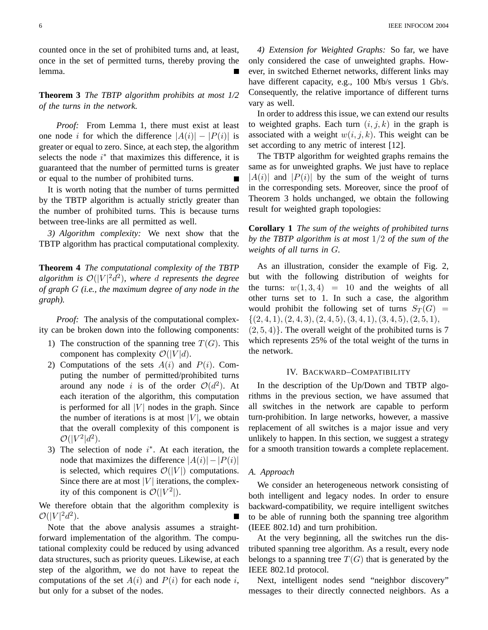counted once in the set of prohibited turns and, at least, once in the set of permitted turns, thereby proving the lemma.

**Theorem 3** *The TBTP algorithm prohibits at most 1/2 of the turns in the network.*

*Proof:* From Lemma 1, there must exist at least one node *i* for which the difference  $|A(i)| - |P(i)|$  is greater or equal to zero. Since, at each step, the algorithm selects the node  $i^*$  that maximizes this difference, it is guaranteed that the number of permitted turns is greater or equal to the number of prohibited turns.

It is worth noting that the number of turns permitted by the TBTP algorithm is actually strictly greater than the number of prohibited turns. This is because turns between tree-links are all permitted as well.

*3) Algorithm complexity:* We next show that the TBTP algorithm has practical computational complexity.

**Theorem 4** *The computational complexity of the TBTP* algorithm is  $\mathcal{O}(|V|^2 d^2)$ , where d represents the degree *of graph* G *(i.e., the maximum degree of any node in the graph).*

*Proof:* The analysis of the computational complexity can be broken down into the following components:

- 1) The construction of the spanning tree  $T(G)$ . This component has complexity  $\mathcal{O}(|V|d)$ .
- 2) Computations of the sets  $A(i)$  and  $P(i)$ . Computing the number of permitted/prohibited turns around any node i is of the order  $O(d^2)$ . At each iteration of the algorithm, this computation is performed for all  $|V|$  nodes in the graph. Since the number of iterations is at most  $|V|$ , we obtain that the overall complexity of this component is  $\mathcal{O}(|V^2|d^2)$ .
- 3) The selection of node  $i^*$ . At each iteration, the node that maximizes the difference  $|A(i)| - |P(i)|$ is selected, which requires  $\mathcal{O}(|V|)$  computations. Since there are at most  $|V|$  iterations, the complexity of this component is  $\mathcal{O}(|V^2|)$ .

We therefore obtain that the algorithm complexity is  $\mathcal{O}(|V|^2 d^2)$ .

Note that the above analysis assumes a straightforward implementation of the algorithm. The computational complexity could be reduced by using advanced data structures, such as priority queues. Likewise, at each step of the algorithm, we do not have to repeat the computations of the set  $A(i)$  and  $P(i)$  for each node i, but only for a subset of the nodes.

*4) Extension for Weighted Graphs:* So far, we have only considered the case of unweighted graphs. However, in switched Ethernet networks, different links may have different capacity, e.g., 100 Mb/s versus 1 Gb/s. Consequently, the relative importance of different turns vary as well.

In order to address this issue, we can extend our results to weighted graphs. Each turn  $(i, j, k)$  in the graph is associated with a weight  $w(i, j, k)$ . This weight can be set according to any metric of interest [12].

The TBTP algorithm for weighted graphs remains the same as for unweighted graphs. We just have to replace  $|A(i)|$  and  $|P(i)|$  by the sum of the weight of turns in the corresponding sets. Moreover, since the proof of Theorem 3 holds unchanged, we obtain the following result for weighted graph topologies:

**Corollary 1** *The sum of the weights of prohibited turns by the TBTP algorithm is at most* 1/2 *of the sum of the weights of all turns in* G*.*

As an illustration, consider the example of Fig. 2, but with the following distribution of weights for the turns:  $w(1,3,4) = 10$  and the weights of all other turns set to 1. In such a case, the algorithm would prohibit the following set of turns  $S_T(G)$  =  $\{(2, 4, 1), (2, 4, 3), (2, 4, 5), (3, 4, 1), (3, 4, 5), (2, 5, 1),$  $(2, 5, 4)$ . The overall weight of the prohibited turns is 7 which represents 25% of the total weight of the turns in the network.

# IV. BACKWARD–COMPATIBILITY

In the description of the Up/Down and TBTP algorithms in the previous section, we have assumed that all switches in the network are capable to perform turn-prohibition. In large networks, however, a massive replacement of all switches is a major issue and very unlikely to happen. In this section, we suggest a strategy for a smooth transition towards a complete replacement.

#### *A. Approach*

We consider an heterogeneous network consisting of both intelligent and legacy nodes. In order to ensure backward-compatibility, we require intelligent switches to be able of running both the spanning tree algorithm (IEEE 802.1d) and turn prohibition.

At the very beginning, all the switches run the distributed spanning tree algorithm. As a result, every node belongs to a spanning tree  $T(G)$  that is generated by the IEEE 802.1d protocol.

Next, intelligent nodes send "neighbor discovery" messages to their directly connected neighbors. As a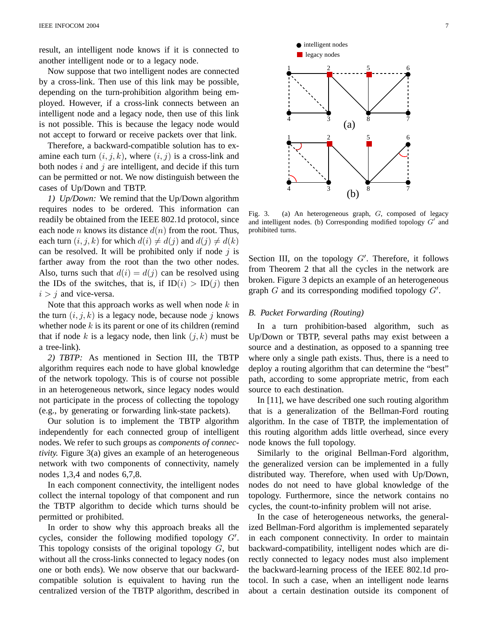result, an intelligent node knows if it is connected to another intelligent node or to a legacy node.

Now suppose that two intelligent nodes are connected by a cross-link. Then use of this link may be possible, depending on the turn-prohibition algorithm being employed. However, if a cross-link connects between an intelligent node and a legacy node, then use of this link is not possible. This is because the legacy node would not accept to forward or receive packets over that link.

Therefore, a backward-compatible solution has to examine each turn  $(i, j, k)$ , where  $(i, j)$  is a cross-link and both nodes  $i$  and  $j$  are intelligent, and decide if this turn can be permitted or not. We now distinguish between the cases of Up/Down and TBTP.

*1) Up/Down:* We remind that the Up/Down algorithm requires nodes to be ordered. This information can readily be obtained from the IEEE 802.1d protocol, since each node *n* knows its distance  $d(n)$  from the root. Thus, each turn  $(i, j, k)$  for which  $d(i) \neq d(j)$  and  $d(j) \neq d(k)$ can be resolved. It will be prohibited only if node  $j$  is farther away from the root than the two other nodes. Also, turns such that  $d(i) = d(j)$  can be resolved using the IDs of the switches, that is, if  $ID(i) > ID(j)$  then  $i > i$  and vice-versa.

Note that this approach works as well when node  $k$  in the turn  $(i, j, k)$  is a legacy node, because node j knows whether node  $k$  is its parent or one of its children (remind that if node k is a legacy node, then link  $(j, k)$  must be a tree-link).

*2) TBTP:* As mentioned in Section III, the TBTP algorithm requires each node to have global knowledge of the network topology. This is of course not possible in an heterogeneous network, since legacy nodes would not participate in the process of collecting the topology (e.g., by generating or forwarding link-state packets).

Our solution is to implement the TBTP algorithm independently for each connected group of intelligent nodes. We refer to such groups as *components of connectivity.* Figure 3(a) gives an example of an heterogeneous network with two components of connectivity, namely nodes 1,3,4 and nodes 6,7,8.

In each component connectivity, the intelligent nodes collect the internal topology of that component and run the TBTP algorithm to decide which turns should be permitted or prohibited.

In order to show why this approach breaks all the cycles, consider the following modified topology  $G'$ . This topology consists of the original topology  $G$ , but without all the cross-links connected to legacy nodes (on one or both ends). We now observe that our backwardcompatible solution is equivalent to having run the centralized version of the TBTP algorithm, described in



Fig. 3. (a) An heterogeneous graph, G, composed of legacy and intelligent nodes. (b) Corresponding modified topology  $G'$  and prohibited turns.

Section III, on the topology  $G'$ . Therefore, it follows from Theorem 2 that all the cycles in the network are broken. Figure 3 depicts an example of an heterogeneous graph  $G$  and its corresponding modified topology  $G'$ .

#### *B. Packet Forwarding (Routing)*

In a turn prohibition-based algorithm, such as Up/Down or TBTP, several paths may exist between a source and a destination, as opposed to a spanning tree where only a single path exists. Thus, there is a need to deploy a routing algorithm that can determine the "best" path, according to some appropriate metric, from each source to each destination.

In [11], we have described one such routing algorithm that is a generalization of the Bellman-Ford routing algorithm. In the case of TBTP, the implementation of this routing algorithm adds little overhead, since every node knows the full topology.

Similarly to the original Bellman-Ford algorithm, the generalized version can be implemented in a fully distributed way. Therefore, when used with Up/Down, nodes do not need to have global knowledge of the topology. Furthermore, since the network contains no cycles, the count-to-infinity problem will not arise.

In the case of heterogeneous networks, the generalized Bellman-Ford algorithm is implemented separately in each component connectivity. In order to maintain backward-compatibility, intelligent nodes which are directly connected to legacy nodes must also implement the backward-learning process of the IEEE 802.1d protocol. In such a case, when an intelligent node learns about a certain destination outside its component of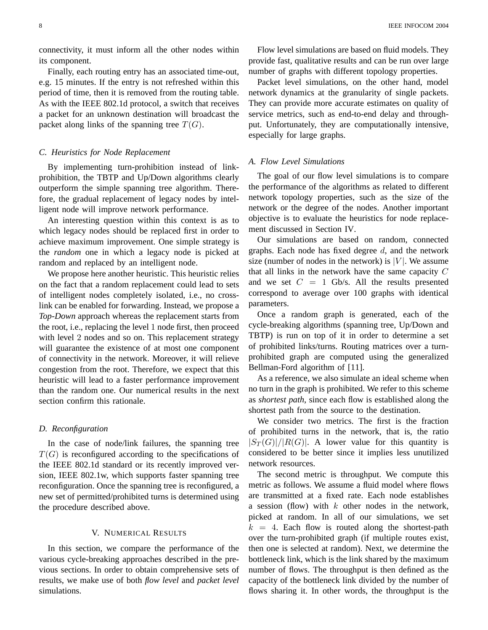connectivity, it must inform all the other nodes within its component.

Finally, each routing entry has an associated time-out, e.g. 15 minutes. If the entry is not refreshed within this period of time, then it is removed from the routing table. As with the IEEE 802.1d protocol, a switch that receives a packet for an unknown destination will broadcast the packet along links of the spanning tree  $T(G)$ .

# *C. Heuristics for Node Replacement*

By implementing turn-prohibition instead of linkprohibition, the TBTP and Up/Down algorithms clearly outperform the simple spanning tree algorithm. Therefore, the gradual replacement of legacy nodes by intelligent node will improve network performance.

An interesting question within this context is as to which legacy nodes should be replaced first in order to achieve maximum improvement. One simple strategy is the *random* one in which a legacy node is picked at random and replaced by an intelligent node.

We propose here another heuristic. This heuristic relies on the fact that a random replacement could lead to sets of intelligent nodes completely isolated, i.e., no crosslink can be enabled for forwarding. Instead, we propose a *Top-Down* approach whereas the replacement starts from the root, i.e., replacing the level 1 node first, then proceed with level 2 nodes and so on. This replacement strategy will guarantee the existence of at most one component of connectivity in the network. Moreover, it will relieve congestion from the root. Therefore, we expect that this heuristic will lead to a faster performance improvement than the random one. Our numerical results in the next section confirm this rationale.

# *D. Reconfiguration*

In the case of node/link failures, the spanning tree  $T(G)$  is reconfigured according to the specifications of the IEEE 802.1d standard or its recently improved version, IEEE 802.1w, which supports faster spanning tree reconfiguration. Once the spanning tree is reconfigured, a new set of permitted/prohibited turns is determined using the procedure described above.

#### V. NUMERICAL RESULTS

In this section, we compare the performance of the various cycle-breaking approaches described in the previous sections. In order to obtain comprehensive sets of results, we make use of both *flow level* and *packet level* simulations.

Flow level simulations are based on fluid models. They provide fast, qualitative results and can be run over large number of graphs with different topology properties.

Packet level simulations, on the other hand, model network dynamics at the granularity of single packets. They can provide more accurate estimates on quality of service metrics, such as end-to-end delay and throughput. Unfortunately, they are computationally intensive, especially for large graphs.

# *A. Flow Level Simulations*

The goal of our flow level simulations is to compare the performance of the algorithms as related to different network topology properties, such as the size of the network or the degree of the nodes. Another important objective is to evaluate the heuristics for node replacement discussed in Section IV.

Our simulations are based on random, connected graphs. Each node has fixed degree  $d$ , and the network size (number of nodes in the network) is  $|V|$ . We assume that all links in the network have the same capacity C and we set  $C = 1$  Gb/s. All the results presented correspond to average over 100 graphs with identical parameters.

Once a random graph is generated, each of the cycle-breaking algorithms (spanning tree, Up/Down and TBTP) is run on top of it in order to determine a set of prohibited links/turns. Routing matrices over a turnprohibited graph are computed using the generalized Bellman-Ford algorithm of [11].

As a reference, we also simulate an ideal scheme when no turn in the graph is prohibited. We refer to this scheme as *shortest path*, since each flow is established along the shortest path from the source to the destination.

We consider two metrics. The first is the fraction of prohibited turns in the network, that is, the ratio  $|S_T(G)|/|R(G)|$ . A lower value for this quantity is considered to be better since it implies less unutilized network resources.

The second metric is throughput. We compute this metric as follows. We assume a fluid model where flows are transmitted at a fixed rate. Each node establishes a session (flow) with  $k$  other nodes in the network, picked at random. In all of our simulations, we set  $k = 4$ . Each flow is routed along the shortest-path over the turn-prohibited graph (if multiple routes exist, then one is selected at random). Next, we determine the bottleneck link, which is the link shared by the maximum number of flows. The throughput is then defined as the capacity of the bottleneck link divided by the number of flows sharing it. In other words, the throughput is the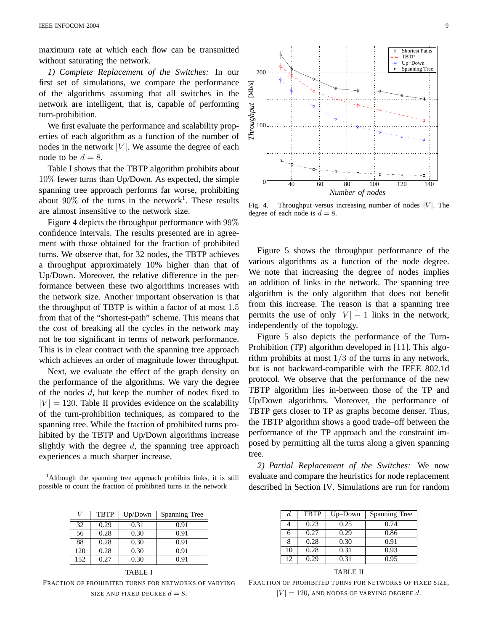maximum rate at which each flow can be transmitted without saturating the network.

*1) Complete Replacement of the Switches:* In our first set of simulations, we compare the performance of the algorithms assuming that all switches in the network are intelligent, that is, capable of performing turn-prohibition.

We first evaluate the performance and scalability properties of each algorithm as a function of the number of nodes in the network  $|V|$ . We assume the degree of each node to be  $d = 8$ .

Table I shows that the TBTP algorithm prohibits about 10% fewer turns than Up/Down. As expected, the simple spanning tree approach performs far worse, prohibiting about  $90\%$  of the turns in the network<sup>1</sup>. These results are almost insensitive to the network size.

Figure 4 depicts the throughput performance with 99% confidence intervals. The results presented are in agreement with those obtained for the fraction of prohibited turns. We observe that, for 32 nodes, the TBTP achieves a throughput approximately 10% higher than that of Up/Down. Moreover, the relative difference in the performance between these two algorithms increases with the network size. Another important observation is that the throughput of TBTP is within a factor of at most 1.5 from that of the "shortest-path" scheme. This means that the cost of breaking all the cycles in the network may not be too significant in terms of network performance. This is in clear contract with the spanning tree approach which achieves an order of magnitude lower throughput.

Next, we evaluate the effect of the graph density on the performance of the algorithms. We vary the degree of the nodes d, but keep the number of nodes fixed to  $|V| = 120$ . Table II provides evidence on the scalability of the turn-prohibition techniques, as compared to the spanning tree. While the fraction of prohibited turns prohibited by the TBTP and Up/Down algorithms increase slightly with the degree  $d$ , the spanning tree approach experiences a much sharper increase.

<sup>1</sup>Although the spanning tree approach prohibits links, it is still possible to count the fraction of prohibited turns in the network

|     | TBTP | Up/Down | Spanning Tree |
|-----|------|---------|---------------|
| 32  | 0.29 | 0.31    | 0.91          |
| 56  | 0.28 | 0.30    | 0.91          |
| 88  | 0.28 | 0.30    | 0.91          |
| 120 | 0.28 | 0.30    | 0.91          |
| 152 | 0.27 | 0.30    | 0.91          |

FRACTION OF PROHIBITED TURNS FOR NETWORKS OF VARYING SIZE AND FIXED DEGREE  $d = 8$ .

TABLE I



Fig. 4. Throughput versus increasing number of nodes  $|V|$ . The degree of each node is  $d = 8$ .

Figure 5 shows the throughput performance of the various algorithms as a function of the node degree. We note that increasing the degree of nodes implies an addition of links in the network. The spanning tree algorithm is the only algorithm that does not benefit from this increase. The reason is that a spanning tree permits the use of only  $|V| - 1$  links in the network, independently of the topology.

Figure 5 also depicts the performance of the Turn-Prohibition (TP) algorithm developed in [11]. This algorithm prohibits at most  $1/3$  of the turns in any network, but is not backward-compatible with the IEEE 802.1d protocol. We observe that the performance of the new TBTP algorithm lies in-between those of the TP and Up/Down algorithms. Moreover, the performance of TBTP gets closer to TP as graphs become denser. Thus, the TBTP algorithm shows a good trade–off between the performance of the TP approach and the constraint imposed by permitting all the turns along a given spanning tree.

*2) Partial Replacement of the Switches:* We now evaluate and compare the heuristics for node replacement described in Section IV. Simulations are run for random

| d  | TBTP | $Up$ -Down | Spanning Tree |
|----|------|------------|---------------|
|    | 0.23 | 0.25       | 0.74          |
| 6  | 0.27 | 0.29       | 0.86          |
| 8  | 0.28 | 0.30       | 0.91          |
| 10 | 0.28 | 0.31       | 0.93          |
| 12 | 0.29 | 0.31       | 0.95          |

TABLE II

FRACTION OF PROHIBITED TURNS FOR NETWORKS OF FIXED SIZE,  $|V| = 120$ , AND NODES OF VARYING DEGREE d.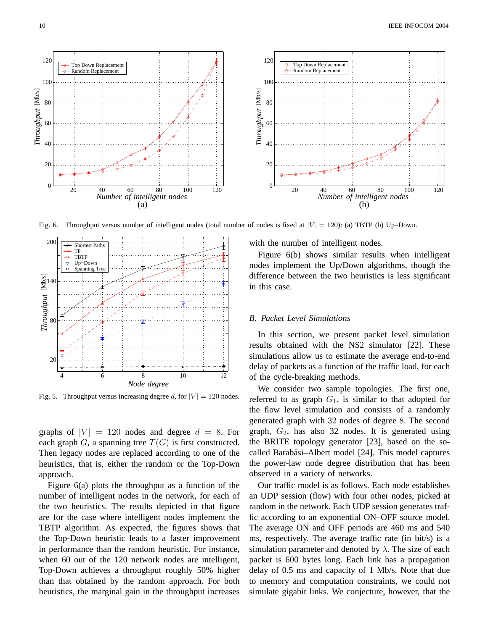

Fig. 6. Throughput versus number of intelligent nodes (total number of nodes is fixed at  $|V| = 120$ ): (a) TBTP (b) Up–Down.



Fig. 5. Throughput versus increasing degree d, for  $|V| = 120$  nodes.

graphs of  $|V| = 120$  nodes and degree  $d = 8$ . For each graph G, a spanning tree  $T(G)$  is first constructed. Then legacy nodes are replaced according to one of the heuristics, that is, either the random or the Top-Down approach.

Figure 6(a) plots the throughput as a function of the number of intelligent nodes in the network, for each of the two heuristics. The results depicted in that figure are for the case where intelligent nodes implement the TBTP algorithm. As expected, the figures shows that the Top-Down heuristic leads to a faster improvement in performance than the random heuristic. For instance, when 60 out of the 120 network nodes are intelligent, Top-Down achieves a throughput roughly 50% higher than that obtained by the random approach. For both heuristics, the marginal gain in the throughput increases

with the number of intelligent nodes.

Figure 6(b) shows similar results when intelligent nodes implement the Up/Down algorithms, though the difference between the two heuristics is less significant in this case.

## *B. Packet Level Simulations*

In this section, we present packet level simulation results obtained with the NS2 simulator [22]. These simulations allow us to estimate the average end-to-end delay of packets as a function of the traffic load, for each of the cycle-breaking methods.

We consider two sample topologies. The first one, referred to as graph  $G_1$ , is similar to that adopted for the flow level simulation and consists of a randomly generated graph with 32 nodes of degree 8. The second graph,  $G_2$ , has also 32 nodes. It is generated using the BRITE topology generator [23], based on the socalled Barabási–Albert model [24]. This model captures the power-law node degree distribution that has been observed in a variety of networks.

Our traffic model is as follows. Each node establishes an UDP session (flow) with four other nodes, picked at random in the network. Each UDP session generates traffic according to an exponential ON–OFF source model. The average ON and OFF periods are 460 ms and 540 ms, respectively. The average traffic rate (in bit/s) is a simulation parameter and denoted by  $\lambda$ . The size of each packet is 600 bytes long. Each link has a propagation delay of 0.5 ms and capacity of 1 Mb/s. Note that due to memory and computation constraints, we could not simulate gigabit links. We conjecture, however, that the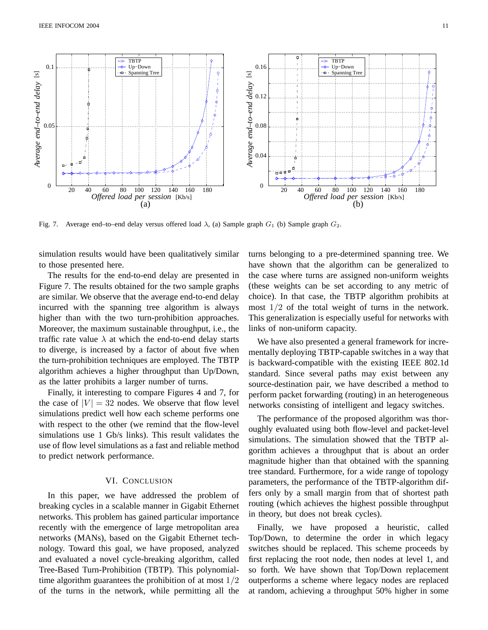

Fig. 7. Average end–to–end delay versus offered load  $\lambda$ , (a) Sample graph  $G_1$  (b) Sample graph  $G_2$ .

simulation results would have been qualitatively similar to those presented here.

The results for the end-to-end delay are presented in Figure 7. The results obtained for the two sample graphs are similar. We observe that the average end-to-end delay incurred with the spanning tree algorithm is always higher than with the two turn-prohibition approaches. Moreover, the maximum sustainable throughput, i.e., the traffic rate value  $\lambda$  at which the end-to-end delay starts to diverge, is increased by a factor of about five when the turn-prohibition techniques are employed. The TBTP algorithm achieves a higher throughput than Up/Down, as the latter prohibits a larger number of turns.

Finally, it interesting to compare Figures 4 and 7, for the case of  $|V| = 32$  nodes. We observe that flow level simulations predict well how each scheme performs one with respect to the other (we remind that the flow-level simulations use 1 Gb/s links). This result validates the use of flow level simulations as a fast and reliable method to predict network performance.

# VI. CONCLUSION

In this paper, we have addressed the problem of breaking cycles in a scalable manner in Gigabit Ethernet networks. This problem has gained particular importance recently with the emergence of large metropolitan area networks (MANs), based on the Gigabit Ethernet technology. Toward this goal, we have proposed, analyzed and evaluated a novel cycle-breaking algorithm, called Tree-Based Turn-Prohibition (TBTP). This polynomialtime algorithm guarantees the prohibition of at most  $1/2$ of the turns in the network, while permitting all the

turns belonging to a pre-determined spanning tree. We have shown that the algorithm can be generalized to the case where turns are assigned non-uniform weights (these weights can be set according to any metric of choice). In that case, the TBTP algorithm prohibits at most  $1/2$  of the total weight of turns in the network. This generalization is especially useful for networks with links of non-uniform capacity.

We have also presented a general framework for incrementally deploying TBTP-capable switches in a way that is backward-compatible with the existing IEEE 802.1d standard. Since several paths may exist between any source-destination pair, we have described a method to perform packet forwarding (routing) in an heterogeneous networks consisting of intelligent and legacy switches.

The performance of the proposed algorithm was thoroughly evaluated using both flow-level and packet-level simulations. The simulation showed that the TBTP algorithm achieves a throughput that is about an order magnitude higher than that obtained with the spanning tree standard. Furthermore, for a wide range of topology parameters, the performance of the TBTP-algorithm differs only by a small margin from that of shortest path routing (which achieves the highest possible throughput in theory, but does not break cycles).

Finally, we have proposed a heuristic, called Top/Down, to determine the order in which legacy switches should be replaced. This scheme proceeds by first replacing the root node, then nodes at level 1, and so forth. We have shown that Top/Down replacement outperforms a scheme where legacy nodes are replaced at random, achieving a throughput 50% higher in some